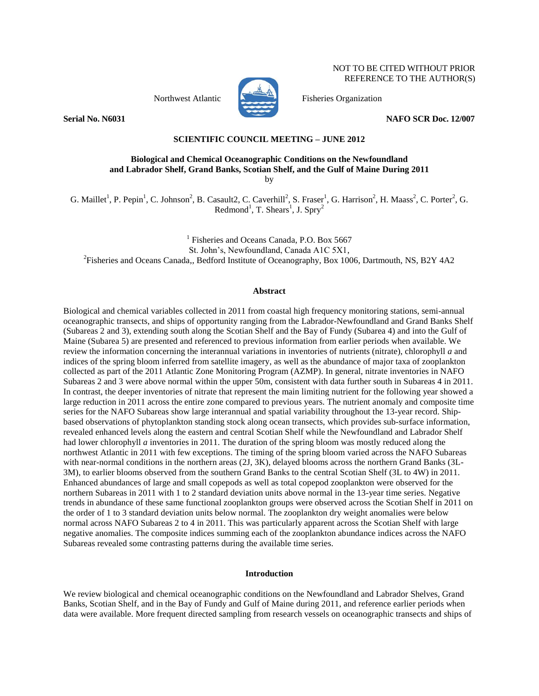NOT TO BE CITED WITHOUT PRIOR REFERENCE TO THE AUTHOR(S)



Northwest Atlantic Fisheries Organization

**Serial No. N6031 NAFO SCR Doc. 12/007**

# **SCIENTIFIC COUNCIL MEETING – JUNE 2012**

## **Biological and Chemical Oceanographic Conditions on the Newfoundland and Labrador Shelf, Grand Banks, Scotian Shelf, and the Gulf of Maine During 2011** by

G. Maillet<sup>1</sup>, P. Pepin<sup>1</sup>, C. Johnson<sup>2</sup>, B. Casault2, C. Caverhill<sup>2</sup>, S. Fraser<sup>1</sup>, G. Harrison<sup>2</sup>, H. Maass<sup>2</sup>, C. Porter<sup>2</sup>, G. Redmond<sup>1</sup>, T. Shears<sup>1</sup>, J. Spry<sup>2</sup>

<sup>1</sup> Fisheries and Oceans Canada, P.O. Box 5667 St. John's, Newfoundland, Canada A1C 5X1, <sup>2</sup> Fisheries and Oceans Canada,, Bedford Institute of Oceanography, Box 1006, Dartmouth, NS, B2Y 4A2

### **Abstract**

Biological and chemical variables collected in 2011 from coastal high frequency monitoring stations, semi-annual oceanographic transects, and ships of opportunity ranging from the Labrador-Newfoundland and Grand Banks Shelf (Subareas 2 and 3), extending south along the Scotian Shelf and the Bay of Fundy (Subarea 4) and into the Gulf of Maine (Subarea 5) are presented and referenced to previous information from earlier periods when available. We review the information concerning the interannual variations in inventories of nutrients (nitrate), chlorophyll *a* and indices of the spring bloom inferred from satellite imagery, as well as the abundance of major taxa of zooplankton collected as part of the 2011 Atlantic Zone Monitoring Program (AZMP). In general, nitrate inventories in NAFO Subareas 2 and 3 were above normal within the upper 50m, consistent with data further south in Subareas 4 in 2011. In contrast, the deeper inventories of nitrate that represent the main limiting nutrient for the following year showed a large reduction in 2011 across the entire zone compared to previous years. The nutrient anomaly and composite time series for the NAFO Subareas show large interannual and spatial variability throughout the 13-year record. Shipbased observations of phytoplankton standing stock along ocean transects, which provides sub-surface information, revealed enhanced levels along the eastern and central Scotian Shelf while the Newfoundland and Labrador Shelf had lower chlorophyll *a* inventories in 2011. The duration of the spring bloom was mostly reduced along the northwest Atlantic in 2011 with few exceptions. The timing of the spring bloom varied across the NAFO Subareas with near-normal conditions in the northern areas (2J, 3K), delayed blooms across the northern Grand Banks (3L-3M), to earlier blooms observed from the southern Grand Banks to the central Scotian Shelf (3L to 4W) in 2011. Enhanced abundances of large and small copepods as well as total copepod zooplankton were observed for the northern Subareas in 2011 with 1 to 2 standard deviation units above normal in the 13-year time series. Negative trends in abundance of these same functional zooplankton groups were observed across the Scotian Shelf in 2011 on the order of 1 to 3 standard deviation units below normal. The zooplankton dry weight anomalies were below normal across NAFO Subareas 2 to 4 in 2011. This was particularly apparent across the Scotian Shelf with large negative anomalies. The composite indices summing each of the zooplankton abundance indices across the NAFO Subareas revealed some contrasting patterns during the available time series.

#### **Introduction**

We review biological and chemical oceanographic conditions on the Newfoundland and Labrador Shelves, Grand Banks, Scotian Shelf, and in the Bay of Fundy and Gulf of Maine during 2011, and reference earlier periods when data were available. More frequent directed sampling from research vessels on oceanographic transects and ships of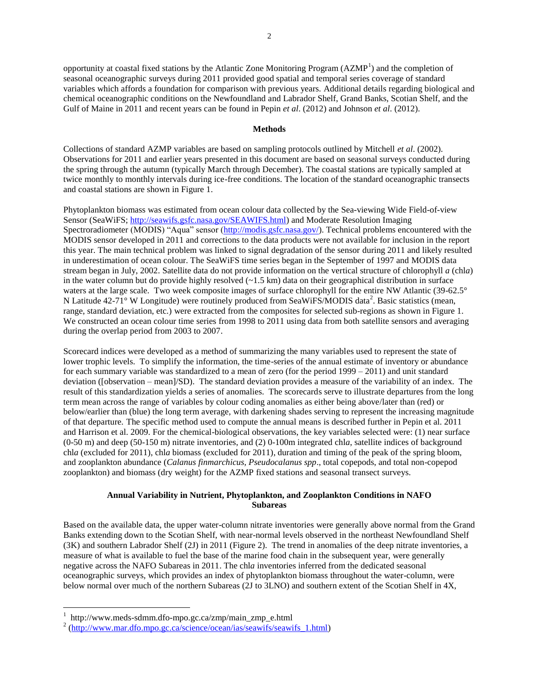opportunity at coastal fixed stations by the Atlantic Zone Monitoring Program (AZMP<sup>1</sup>) and the completion of seasonal oceanographic surveys during 2011 provided good spatial and temporal series coverage of standard variables which affords a foundation for comparison with previous years. Additional details regarding biological and chemical oceanographic conditions on the Newfoundland and Labrador Shelf, Grand Banks, Scotian Shelf, and the Gulf of Maine in 2011 and recent years can be found in Pepin *et al*. (2012) and Johnson *et al*. (2012).

### **Methods**

Collections of standard AZMP variables are based on sampling protocols outlined by Mitchell *et al*. (2002). Observations for 2011 and earlier years presented in this document are based on seasonal surveys conducted during the spring through the autumn (typically March through December). The coastal stations are typically sampled at twice monthly to monthly intervals during ice-free conditions. The location of the standard oceanographic transects and coastal stations are shown in Figure 1.

Phytoplankton biomass was estimated from ocean colour data collected by the Sea-viewing Wide Field-of-view Sensor (SeaWiFS; [http://seawifs.gsfc.nasa.gov/SEAWIFS.html\)](http://seawifs.gsfc.nasa.gov/SEAWIFS.html) and Moderate Resolution Imaging Spectroradiometer (MODIS) "Aqua" sensor [\(http://modis.gsfc.nasa.gov/\)](http://modis.gsfc.nasa.gov/). Technical problems encountered with the MODIS sensor developed in 2011 and corrections to the data products were not available for inclusion in the report this year. The main technical problem was linked to signal degradation of the sensor during 2011 and likely resulted in underestimation of ocean colour. The SeaWiFS time series began in the September of 1997 and MODIS data stream began in July, 2002. Satellite data do not provide information on the vertical structure of chlorophyll *a* (chl*a*) in the water column but do provide highly resolved  $(-1.5 \text{ km})$  data on their geographical distribution in surface waters at the large scale. Two week composite images of surface chlorophyll for the entire NW Atlantic (39-62.5° N Latitude 42-71° W Longitude) were routinely produced from SeaWiFS/MODIS data<sup>2</sup>. Basic statistics (mean, range, standard deviation, etc.) were extracted from the composites for selected sub-regions as shown in Figure 1. We constructed an ocean colour time series from 1998 to 2011 using data from both satellite sensors and averaging during the overlap period from 2003 to 2007.

Scorecard indices were developed as a method of summarizing the many variables used to represent the state of lower trophic levels. To simplify the information, the time-series of the annual estimate of inventory or abundance for each summary variable was standardized to a mean of zero (for the period 1999 – 2011) and unit standard deviation ([observation – mean]/SD). The standard deviation provides a measure of the variability of an index. The result of this standardization yields a series of anomalies. The scorecards serve to illustrate departures from the long term mean across the range of variables by colour coding anomalies as either being above/later than (red) or below/earlier than (blue) the long term average, with darkening shades serving to represent the increasing magnitude of that departure. The specific method used to compute the annual means is described further in Pepin et al. 2011 and Harrison et al. 2009. For the chemical-biological observations, the key variables selected were: (1) near surface (0-50 m) and deep (50-150 m) nitrate inventories, and (2) 0-100m integrated chl*a*, satellite indices of background chl*a* (excluded for 2011), chl*a* biomass (excluded for 2011), duration and timing of the peak of the spring bloom, and zooplankton abundance (*Calanus finmarchicus, Pseudocalanus spp*., total copepods, and total non-copepod zooplankton) and biomass (dry weight) for the AZMP fixed stations and seasonal transect surveys.

# **Annual Variability in Nutrient, Phytoplankton, and Zooplankton Conditions in NAFO Subareas**

Based on the available data, the upper water-column nitrate inventories were generally above normal from the Grand Banks extending down to the Scotian Shelf, with near-normal levels observed in the northeast Newfoundland Shelf (3K) and southern Labrador Shelf (2J) in 2011 (Figure 2). The trend in anomalies of the deep nitrate inventories, a measure of what is available to fuel the base of the marine food chain in the subsequent year, were generally negative across the NAFO Subareas in 2011. The chl*a* inventories inferred from the dedicated seasonal oceanographic surveys, which provides an index of phytoplankton biomass throughout the water-column, were below normal over much of the northern Subareas (2J to 3LNO) and southern extent of the Scotian Shelf in 4X,

 $\overline{a}$ 

<sup>1</sup> http://www.meds-sdmm.dfo-mpo.gc.ca/zmp/main\_zmp\_e.html

<sup>&</sup>lt;sup>2</sup> [\(http://www.mar.dfo.mpo.gc.ca/science/ocean/ias/seawifs/seawifs\\_1.html\)](http://www.mar.dfo-mpo.gc.ca/science/ocean/ias/seawifs/seawifs_1.html)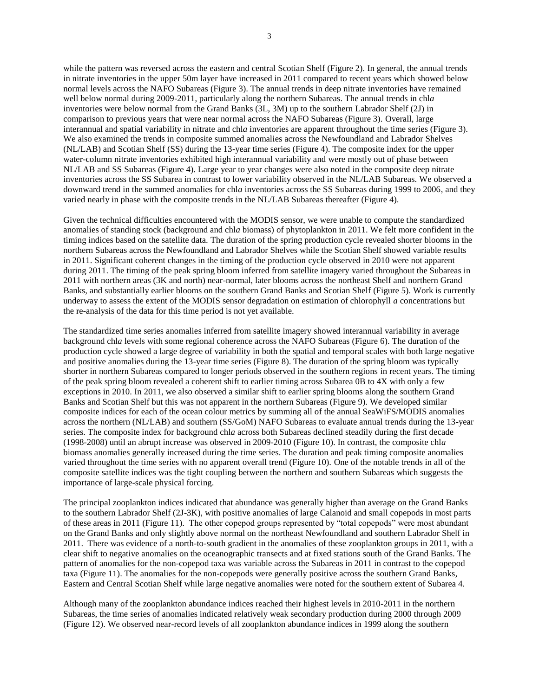while the pattern was reversed across the eastern and central Scotian Shelf (Figure 2). In general, the annual trends in nitrate inventories in the upper 50m layer have increased in 2011 compared to recent years which showed below normal levels across the NAFO Subareas (Figure 3). The annual trends in deep nitrate inventories have remained well below normal during 2009-2011, particularly along the northern Subareas. The annual trends in chl*a* inventories were below normal from the Grand Banks (3L, 3M) up to the southern Labrador Shelf (2J) in comparison to previous years that were near normal across the NAFO Subareas (Figure 3). Overall, large interannual and spatial variability in nitrate and chl*a* inventories are apparent throughout the time series (Figure 3). We also examined the trends in composite summed anomalies across the Newfoundland and Labrador Shelves (NL/LAB) and Scotian Shelf (SS) during the 13-year time series (Figure 4). The composite index for the upper water-column nitrate inventories exhibited high interannual variability and were mostly out of phase between NL/LAB and SS Subareas (Figure 4). Large year to year changes were also noted in the composite deep nitrate inventories across the SS Subarea in contrast to lower variability observed in the NL/LAB Subareas. We observed a downward trend in the summed anomalies for chl*a* inventories across the SS Subareas during 1999 to 2006, and they varied nearly in phase with the composite trends in the NL/LAB Subareas thereafter (Figure 4).

Given the technical difficulties encountered with the MODIS sensor, we were unable to compute the standardized anomalies of standing stock (background and chl*a* biomass) of phytoplankton in 2011. We felt more confident in the timing indices based on the satellite data. The duration of the spring production cycle revealed shorter blooms in the northern Subareas across the Newfoundland and Labrador Shelves while the Scotian Shelf showed variable results in 2011. Significant coherent changes in the timing of the production cycle observed in 2010 were not apparent during 2011. The timing of the peak spring bloom inferred from satellite imagery varied throughout the Subareas in 2011 with northern areas (3K and north) near-normal, later blooms across the northeast Shelf and northern Grand Banks, and substantially earlier blooms on the southern Grand Banks and Scotian Shelf (Figure 5). Work is currently underway to assess the extent of the MODIS sensor degradation on estimation of chlorophyll *a* concentrations but the re-analysis of the data for this time period is not yet available.

The standardized time series anomalies inferred from satellite imagery showed interannual variability in average background chl*a* levels with some regional coherence across the NAFO Subareas (Figure 6). The duration of the production cycle showed a large degree of variability in both the spatial and temporal scales with both large negative and positive anomalies during the 13-year time series (Figure 8). The duration of the spring bloom was typically shorter in northern Subareas compared to longer periods observed in the southern regions in recent years. The timing of the peak spring bloom revealed a coherent shift to earlier timing across Subarea 0B to 4X with only a few exceptions in 2010. In 2011, we also observed a similar shift to earlier spring blooms along the southern Grand Banks and Scotian Shelf but this was not apparent in the northern Subareas (Figure 9). We developed similar composite indices for each of the ocean colour metrics by summing all of the annual SeaWiFS/MODIS anomalies across the northern (NL/LAB) and southern (SS/GoM) NAFO Subareas to evaluate annual trends during the 13-year series. The composite index for background chl*a* across both Subareas declined steadily during the first decade (1998-2008) until an abrupt increase was observed in 2009-2010 (Figure 10). In contrast, the composite chl*a* biomass anomalies generally increased during the time series. The duration and peak timing composite anomalies varied throughout the time series with no apparent overall trend (Figure 10). One of the notable trends in all of the composite satellite indices was the tight coupling between the northern and southern Subareas which suggests the importance of large-scale physical forcing.

The principal zooplankton indices indicated that abundance was generally higher than average on the Grand Banks to the southern Labrador Shelf (2J-3K), with positive anomalies of large Calanoid and small copepods in most parts of these areas in 2011 (Figure 11). The other copepod groups represented by "total copepods" were most abundant on the Grand Banks and only slightly above normal on the northeast Newfoundland and southern Labrador Shelf in 2011. There was evidence of a north-to-south gradient in the anomalies of these zooplankton groups in 2011, with a clear shift to negative anomalies on the oceanographic transects and at fixed stations south of the Grand Banks. The pattern of anomalies for the non-copepod taxa was variable across the Subareas in 2011 in contrast to the copepod taxa (Figure 11). The anomalies for the non-copepods were generally positive across the southern Grand Banks, Eastern and Central Scotian Shelf while large negative anomalies were noted for the southern extent of Subarea 4.

Although many of the zooplankton abundance indices reached their highest levels in 2010-2011 in the northern Subareas, the time series of anomalies indicated relatively weak secondary production during 2000 through 2009 (Figure 12). We observed near-record levels of all zooplankton abundance indices in 1999 along the southern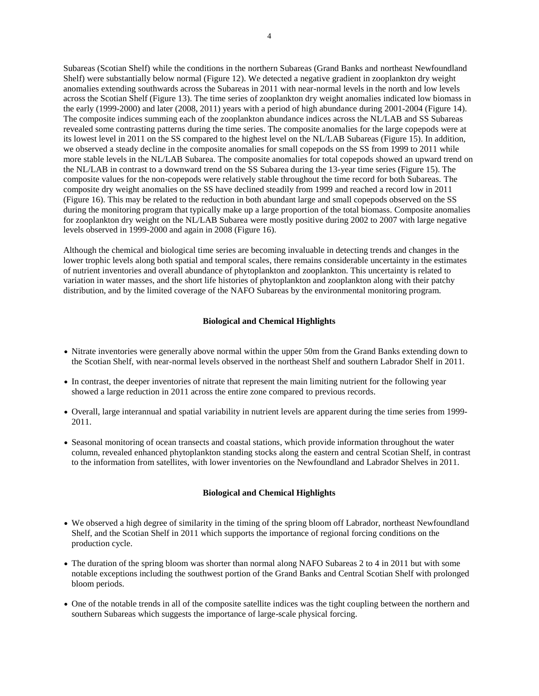Subareas (Scotian Shelf) while the conditions in the northern Subareas (Grand Banks and northeast Newfoundland Shelf) were substantially below normal (Figure 12). We detected a negative gradient in zooplankton dry weight anomalies extending southwards across the Subareas in 2011 with near-normal levels in the north and low levels across the Scotian Shelf (Figure 13). The time series of zooplankton dry weight anomalies indicated low biomass in the early (1999-2000) and later (2008, 2011) years with a period of high abundance during 2001-2004 (Figure 14). The composite indices summing each of the zooplankton abundance indices across the NL/LAB and SS Subareas revealed some contrasting patterns during the time series. The composite anomalies for the large copepods were at its lowest level in 2011 on the SS compared to the highest level on the NL/LAB Subareas (Figure 15). In addition, we observed a steady decline in the composite anomalies for small copepods on the SS from 1999 to 2011 while more stable levels in the NL/LAB Subarea. The composite anomalies for total copepods showed an upward trend on the NL/LAB in contrast to a downward trend on the SS Subarea during the 13-year time series (Figure 15). The composite values for the non-copepods were relatively stable throughout the time record for both Subareas. The composite dry weight anomalies on the SS have declined steadily from 1999 and reached a record low in 2011 (Figure 16). This may be related to the reduction in both abundant large and small copepods observed on the SS during the monitoring program that typically make up a large proportion of the total biomass. Composite anomalies for zooplankton dry weight on the NL/LAB Subarea were mostly positive during 2002 to 2007 with large negative levels observed in 1999-2000 and again in 2008 (Figure 16).

Although the chemical and biological time series are becoming invaluable in detecting trends and changes in the lower trophic levels along both spatial and temporal scales, there remains considerable uncertainty in the estimates of nutrient inventories and overall abundance of phytoplankton and zooplankton. This uncertainty is related to variation in water masses, and the short life histories of phytoplankton and zooplankton along with their patchy distribution, and by the limited coverage of the NAFO Subareas by the environmental monitoring program.

# **Biological and Chemical Highlights**

- Nitrate inventories were generally above normal within the upper 50m from the Grand Banks extending down to the Scotian Shelf, with near-normal levels observed in the northeast Shelf and southern Labrador Shelf in 2011.
- In contrast, the deeper inventories of nitrate that represent the main limiting nutrient for the following year showed a large reduction in 2011 across the entire zone compared to previous records.
- Overall, large interannual and spatial variability in nutrient levels are apparent during the time series from 1999- 2011.
- Seasonal monitoring of ocean transects and coastal stations, which provide information throughout the water column, revealed enhanced phytoplankton standing stocks along the eastern and central Scotian Shelf, in contrast to the information from satellites, with lower inventories on the Newfoundland and Labrador Shelves in 2011.

## **Biological and Chemical Highlights**

- We observed a high degree of similarity in the timing of the spring bloom off Labrador, northeast Newfoundland Shelf, and the Scotian Shelf in 2011 which supports the importance of regional forcing conditions on the production cycle.
- The duration of the spring bloom was shorter than normal along NAFO Subareas 2 to 4 in 2011 but with some notable exceptions including the southwest portion of the Grand Banks and Central Scotian Shelf with prolonged bloom periods.
- One of the notable trends in all of the composite satellite indices was the tight coupling between the northern and southern Subareas which suggests the importance of large-scale physical forcing.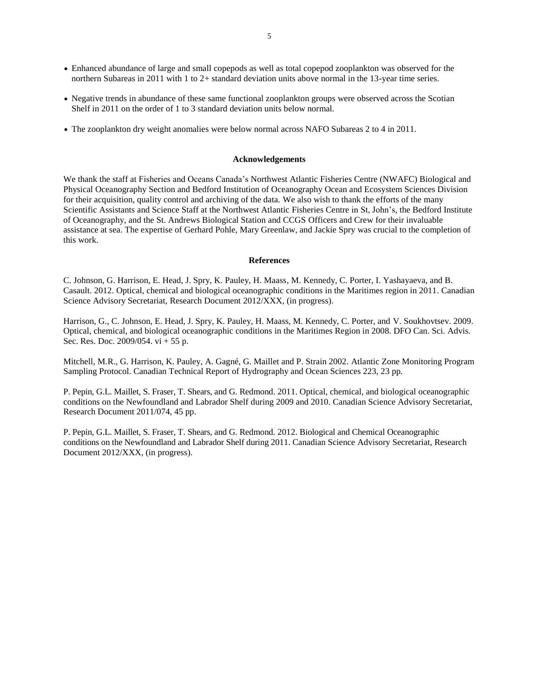- Enhanced abundance of large and small copepods as well as total copepod zooplankton was observed for the northern Subareas in 2011 with 1 to 2+ standard deviation units above normal in the 13-year time series.
- Negative trends in abundance of these same functional zooplankton groups were observed across the Scotian Shelf in 2011 on the order of 1 to 3 standard deviation units below normal.
- The zooplankton dry weight anomalies were below normal across NAFO Subareas 2 to 4 in 2011.

#### **Acknowledgements**

We thank the staff at Fisheries and Oceans Canada's Northwest Atlantic Fisheries Centre (NWAFC) Biological and Physical Oceanography Section and Bedford Institution of Oceanography Ocean and Ecosystem Sciences Division for their acquisition, quality control and archiving of the data. We also wish to thank the efforts of the many Scientific Assistants and Science Staff at the Northwest Atlantic Fisheries Centre in St, John's, the Bedford Institute of Oceanography, and the St. Andrews Biological Station and CCGS Officers and Crew for their invaluable assistance at sea. The expertise of Gerhard Pohle, Mary Greenlaw, and Jackie Spry was crucial to the completion of this work.

### **References**

C. Johnson, G. Harrison, E. Head, J. Spry, K. Pauley, H. Maass, M. Kennedy, C. Porter, I. Yashayaeva, and B. Casault. 2012. Optical, chemical and biological oceanographic conditions in the Maritimes region in 2011. Canadian Science Advisory Secretariat, Research Document 2012/XXX, (in progress).

Harrison, G., C. Johnson, E. Head, J. Spry, K. Pauley, H. Maass, M. Kennedy, C. Porter, and V. Soukhovtsev. 2009. Optical, chemical, and biological oceanographic conditions in the Maritimes Region in 2008. DFO Can. Sci. Advis. Sec. Res. Doc. 2009/054. vi + 55 p.

Mitchell, M.R., G. Harrison, K. Pauley, A. Gagné, G. Maillet and P. Strain 2002. Atlantic Zone Monitoring Program Sampling Protocol. Canadian Technical Report of Hydrography and Ocean Sciences 223, 23 pp.

P. Pepin, G.L. Maillet, S. Fraser, T. Shears, and G. Redmond. 2011. Optical, chemical, and biological oceanographic conditions on the Newfoundland and Labrador Shelf during 2009 and 2010. Canadian Science Advisory Secretariat, Research Document 2011/074, 45 pp.

P. Pepin, G.L. Maillet, S. Fraser, T. Shears, and G. Redmond. 2012. Biological and Chemical Oceanographic conditions on the Newfoundland and Labrador Shelf during 2011. Canadian Science Advisory Secretariat, Research Document 2012/XXX, (in progress).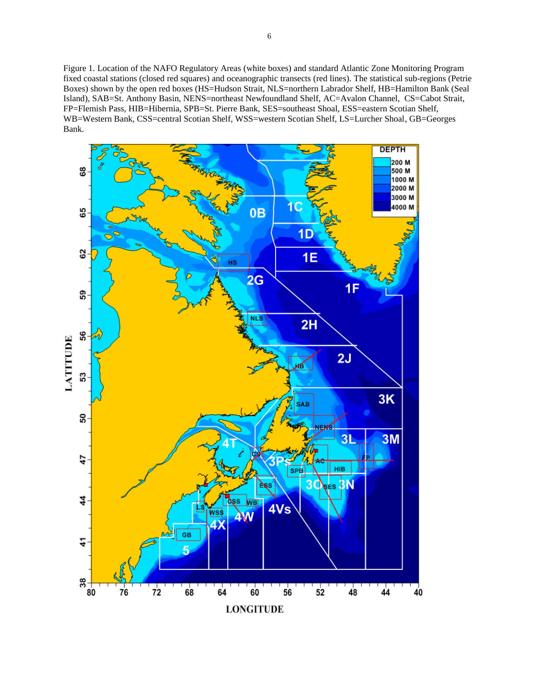Figure 1. Location of the NAFO Regulatory Areas (white boxes) and standard Atlantic Zone Monitoring Program fixed coastal stations (closed red squares) and oceanographic transects (red lines). The statistical sub-regions (Petrie Boxes) shown by the open red boxes (HS=Hudson Strait, NLS=northern Labrador Shelf, HB=Hamilton Bank (Seal Island), SAB=St. Anthony Basin, NENS=northeast Newfoundland Shelf, AC=Avalon Channel, CS=Cabot Strait, FP=Flemish Pass, HIB=Hibernia, SPB=St. Pierre Bank, SES=southeast Shoal, ESS=eastern Scotian Shelf,

WB=Western Bank, CSS=central Scotian Shelf, WSS=western Scotian Shelf, LS=Lurcher Shoal, GB=Georges Bank.

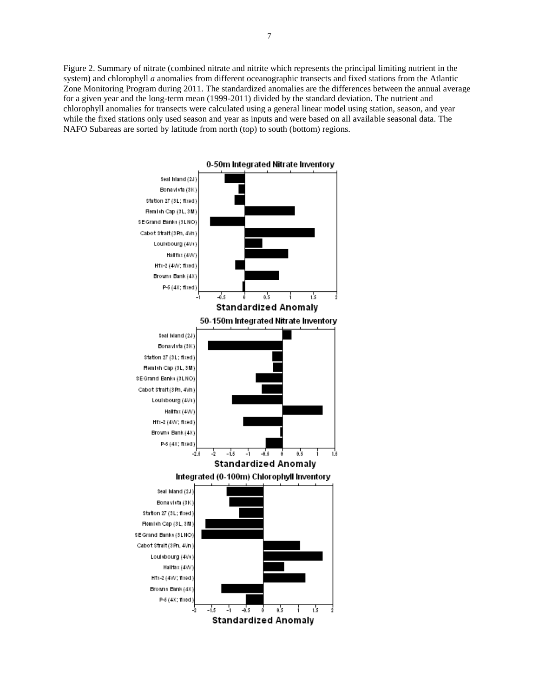Figure 2. Summary of nitrate (combined nitrate and nitrite which represents the principal limiting nutrient in the system) and chlorophyll *a* anomalies from different oceanographic transects and fixed stations from the Atlantic Zone Monitoring Program during 2011. The standardized anomalies are the differences between the annual average for a given year and the long-term mean (1999-2011) divided by the standard deviation. The nutrient and chlorophyll anomalies for transects were calculated using a general linear model using station, season, and year while the fixed stations only used season and year as inputs and were based on all available seasonal data. The NAFO Subareas are sorted by latitude from north (top) to south (bottom) regions.



0-50m Integrated Nitrate Inventory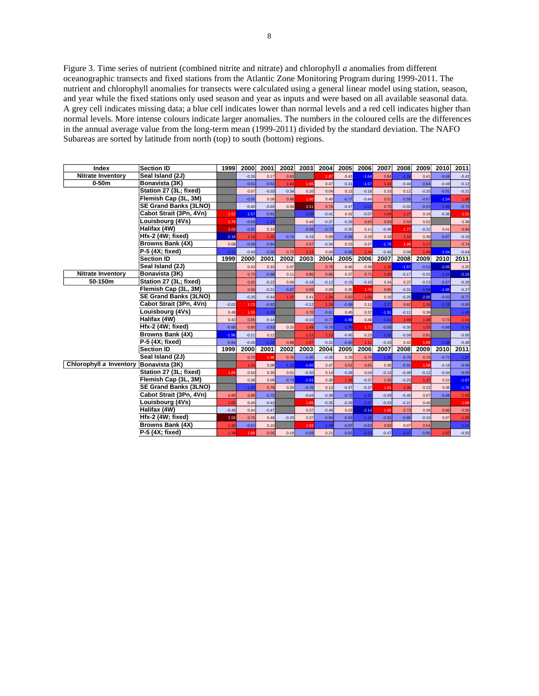Figure 3. Time series of nutrient (combined nitrite and nitrate) and chlorophyll *a* anomalies from different oceanographic transects and fixed stations from the Atlantic Zone Monitoring Program during 1999-2011. The nutrient and chlorophyll anomalies for transects were calculated using a general linear model using station, season, and year while the fixed stations only used season and year as inputs and were based on all available seasonal data. A grey cell indicates missing data; a blue cell indicates lower than normal levels and a red cell indicates higher than normal levels. More intense colours indicate larger anomalies. The numbers in the coloured cells are the differences in the annual average value from the long-term mean (1999-2011) divided by the standard deviation. The NAFO Subareas are sorted by latitude from north (top) to south (bottom) regions.

| Index                    | <b>Section ID</b>            | 1999    | 2000    | 2001    | 2002    | 2003    | 2004    | 2005    | 2006    | 2007    | 2008    | 2009    | 2010    | 2011    |
|--------------------------|------------------------------|---------|---------|---------|---------|---------|---------|---------|---------|---------|---------|---------|---------|---------|
| <b>Nitrate Inventory</b> | Seal Island (2J)             |         | $-0.35$ | 0.17    | 0.63    |         | 1.87    | 0.43    | $-1.64$ | 0.84    | $-1.26$ | 0.41    | $-0.69$ | $-0.42$ |
| $0-50m$                  | Bonavista (3K)               |         | $-0.61$ | $-0.53$ | 1.44    | 1.66    | 0.47    | $-0.31$ | $-1.67$ | 1.24    | $-0.44$ | $-0.64$ | $-0.49$ | $-0.13$ |
|                          | Station 27 (3L; fixed)       |         | 0.07    | $-0.03$ | $-0.34$ | 0.20    | 0.04    | 0.13    | $-0.18$ | 0.33    | 0.12    | $-0.25$ | $-0.81$ | $-0.21$ |
|                          | Flemish Cap (3L, 3M)         |         | $-0.95$ | 0.09    | 0.98    | 1.90    | 0.40    | $-0.77$ | $-0.44$ | 0.51    | $-0.58$ | $-0.67$ | $-1.54$ | 1.08    |
|                          | SE Grand Banks (3LNO)        |         | $-0.40$ | $-0.03$ | 0.34    | 2.51    | 0.76    | $-0.47$ | $-1.01$ | 0.75    | $-0.02$ | $-0.63$ | $-1.05$ | $-0.74$ |
|                          | Cabot Strait (3Pn, 4Vn)      | 1.52    | $-1.57$ | $-0.91$ |         | $-1.09$ | $-0.41$ | 0.42    | $-0.07$ | 1.04    | 1.27    | 0.16    | $-0.36$ | 1.51    |
|                          | Louisbourg (4Vs)             | 1.78    | $-0.69$ | $-1.17$ |         | 0.48    | $-0.37$ | $-0.28$ | 0.65    | 0.93    | 0.59    | 0.02    |         | 0.38    |
|                          | Halifax (4W)                 | 2.03    | $-0.82$ | 0.14    |         | $-0.68$ | $-0.73$ | $-0.30$ | 0.11    | $-0.40$ | 1.77    | $-0.31$ | 0.41    | 0.94    |
|                          | Hfx-2 (4W; fixed)            | $-2.18$ | 1.16    | 1.25    | $-0.74$ | $-0.19$ | 0.09    | $-0.58$ | 0.28    | 0.19    | 1.19    | 0.39    | $-0.87$ | $-0.19$ |
|                          | Browns Bank (4X)             | 0.08    | $-0.58$ | $-0.84$ |         | 0.67    | $-0.34$ | 0.15    | 0.27    | $-1.78$ | 1.98    | 1.17    |         | 0.74    |
|                          | P-5 (4X; fixed)              | $-1.01$ | $-0.49$ | $-0.59$ | 0.72    | 1.13    | 0.06    | $-0.88$ | 1.44    | $-0.40$ | 0.09    | 1.49    | $-1.54$ | $-0.04$ |
|                          | <b>Section ID</b>            | 1999    | 2000    | 2001    | 2002    | 2003    | 2004    | 2005    | 2006    | 2007    | 2008    | 2009    | 2010    | 2011    |
|                          | Seal Island (2J)             |         | 0.43    | 0.33    | 0.37    |         | 0.78    | 0.46    | 0.38    | 1.20    | $-1.57$ | $-0.52$ | $-2.09$ | 0.25    |
| <b>Nitrate Inventory</b> | Bonavista (3K)               |         | 0.75    | $-0.88$ | 0.11    | 0.86    | 0.86    | 0.37    | 0.71    | 1.09    | $-0.17$ | $-0.32$ | $-1.24$ | $-2.16$ |
| 50-150m                  | Station 27 (3L; fixed)       |         | 0.65    | $-0.22$ | 0.09    | $-0.18$ | $-0.12$ | $-0.15$ | $-0.10$ | 0.34    | 0.37    | $-0.23$ | $-0.67$ | $-0.29$ |
|                          | Flemish Cap (3L, 3M)         |         | 0.60    | $-0.21$ | $-0.97$ | 0.99    | 0.09    | 0.35    | 1.70    | 0.95    | $-0.31$ | $-1.08$ | $-1.85$ | $-0.27$ |
|                          | <b>SE Grand Banks (3LNO)</b> |         | $-0.35$ | $-0.44$ | 1.22    | 0.41    | 1.34    | 0.62    | 1.04    | 0.16    | $-0.25$ | $-2.06$ | $-0.93$ | $-0.77$ |
|                          | Cabot Strait (3Pn, 4Vn)      | $-0.02$ | 1.73    | $-0.92$ |         | $-0.12$ | 1.24    | $-0.68$ | 0.11    | $-1.27$ | 0.62    | 1.16    | $-1.13$ | $-0.60$ |
|                          | Louisbourg (4Vs)             | 0.48    | 1.55    | $-1.28$ |         | 0.70    | $-0.61$ | 0.45    | 0.37    | $-1.91$ | $-0.11$ | 0.39    |         | $-1.46$ |
|                          | Halifax (4W)                 | 0.42    | 0.65    | $-0.14$ |         | $-0.10$ | $-0.77$ | $-1.98$ | 0.46    | $-1.11$ | 1.09    | 1.48    | 0.73    | 1.14    |
|                          | Hfx-2 (4W; fixed)            | $-0.66$ | 0.80    | $-0.83$ | 0.15    | 1.49    | $-0.76$ | $-1.06$ | 1.71    | $-0.68$ | $-0.30$ | 1.03    | $-0.88$ | $-1.14$ |
|                          | Browns Bank (4X)             | $-1.96$ | $-0.21$ | 0.12    |         | 1.21    | 1.13    | $-0.45$ | 0.23    | $-1.02$ | $-0.09$ | 0.91    |         | $-0.06$ |
|                          | P-5 (4X; fixed)              | $-0.84$ | $-0.45$ | $-1.26$ | 0.88    | 1.07    | $-0.31$ | $-0.60$ | 1.12    | $-0.43$ | 0.42    | 1.69    | $-1.28$ | $-0.48$ |
|                          | <b>Section ID</b>            | 1999    | 2000    | 2001    | 2002    | 2003    | 2004    | 2005    | 2006    | 2007    | 2008    | 2009    | 2010    | 2011    |
|                          | Seal Island (2J)             |         | 0.73    | 1.96    | 0.76    | $-1.00$ | $-0.35$ | 0.29    | 0.74    | $-1.26$ | $-0.76$ | 0.70    | $-0.72$ | $-1.07$ |
| Chlorophyll a Inventory  | Bonavista (3K)               |         | 1.25    | 0.08    | $-1.23$ | $-1.60$ | 0.47    | 0.51    | 0.65    | 0.36    | $-0.91$ | 1.58    | $-0.18$ | $-0.99$ |
|                          | Station 27 (3L; fixed)       | 1.89    | 0.50    | 0.30    | 0.01    | $-0.30$ | 0.14    | $-0.28$ | 0.04    | $-0.13$ | $-0.49$ | $-0.12$ | $-0.04$ | $-0.69$ |
|                          | Flemish Cap (3L, 3M)         |         | 0.38    | 0.09    | $-0.73$ | $-1.63$ | 0.30    | 1.29    | $-0.37$ | 1.00    | $-0.23$ | 1.37    | 0.22    | $-1.67$ |
|                          | SE Grand Banks (3LNO)        |         | $-1.25$ | 0.78    | 0.20    | $-0.76$ | 0.12    | $-0.47$ | $-0.37$ | 1.61    | 1.36    | 0.22    | 0.36    | $-1.79$ |
|                          | Cabot Strait (3Pn, 4Vn)      | 0.85    | 0.99    | $-0.75$ |         | $-0.04$ | $-0.39$ | $-0.72$ | $-1.25$ | $-0.09$ | $-0.40$ | 0.07    | $-0.68$ | 1.05    |
|                          | Louisbourg (4Vs)             | 1.05    | 0.45    | $-0.43$ |         | 1.85    | $-0.35$ | $-0.29$ | $-1.47$ | $-0.03$ | $-0.21$ | 0.40    |         | 1.69    |
|                          | Halifax (4W)                 | $-0.49$ | 0.44    | $-0.47$ |         | 0.37    | $-0.49$ | 0.23    | $-2.14$ | 1.65    | 0.73    | 0.38    | 0.86    | 0.59    |
|                          | Hfx-2 (4W; fixed)            | 2.58    | 0.75    | 0.48    | $-0.23$ | 0.37    | $-0.56$ | $-0.54$ | $-1.15$ | $-0.82$ | $-0.86$ | $-0.10$ | 0.07    | 1.20    |
|                          | Browns Bank (4X)             | 1.20    | $-0.52$ | 0.10    |         | 1.93    | $-1.28$ | $-0.87$ | $-0.63$ | 0.92    | 0.07    | 0.54    |         | $-1.21$ |
|                          | P-5 (4X; fixed)              | 1.38    | 1.68    | 0.56    | 0.19    | $-0.58$ | 0.21    | $-0.82$ | $-1.23$ | $-0.47$ | $-1.07$ | $-0.90$ | 1.07    | $-0.50$ |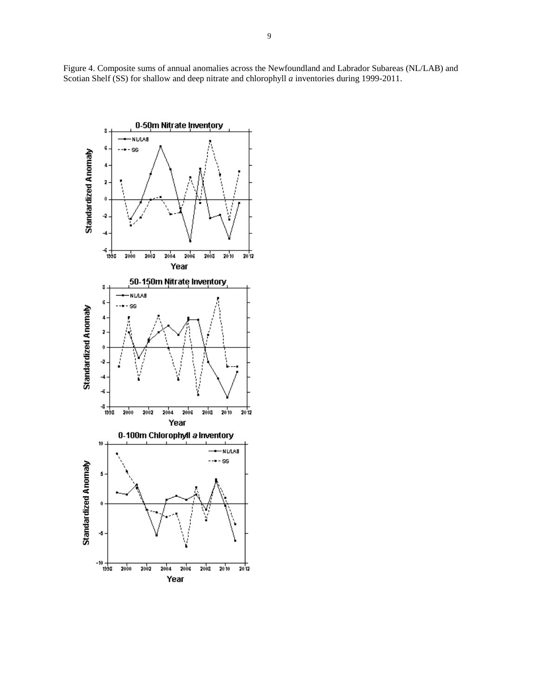Figure 4. Composite sums of annual anomalies across the Newfoundland and Labrador Subareas (NL/LAB) and Scotian Shelf (SS) for shallow and deep nitrate and chlorophyll *a* inventories during 1999-2011.

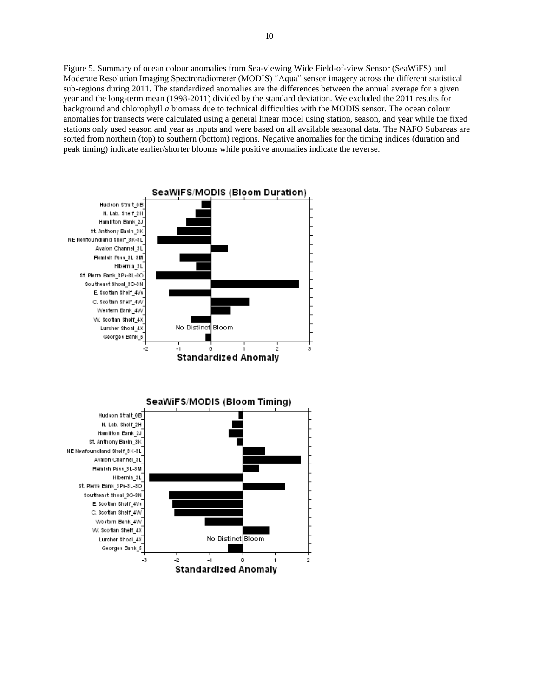Figure 5. Summary of ocean colour anomalies from Sea-viewing Wide Field-of-view Sensor (SeaWiFS) and Moderate Resolution Imaging Spectroradiometer (MODIS) "Aqua" sensor imagery across the different statistical sub-regions during 2011. The standardized anomalies are the differences between the annual average for a given year and the long-term mean (1998-2011) divided by the standard deviation. We excluded the 2011 results for background and chlorophyll *a* biomass due to technical difficulties with the MODIS sensor. The ocean colour anomalies for transects were calculated using a general linear model using station, season, and year while the fixed stations only used season and year as inputs and were based on all available seasonal data. The NAFO Subareas are sorted from northern (top) to southern (bottom) regions. Negative anomalies for the timing indices (duration and peak timing) indicate earlier/shorter blooms while positive anomalies indicate the reverse.

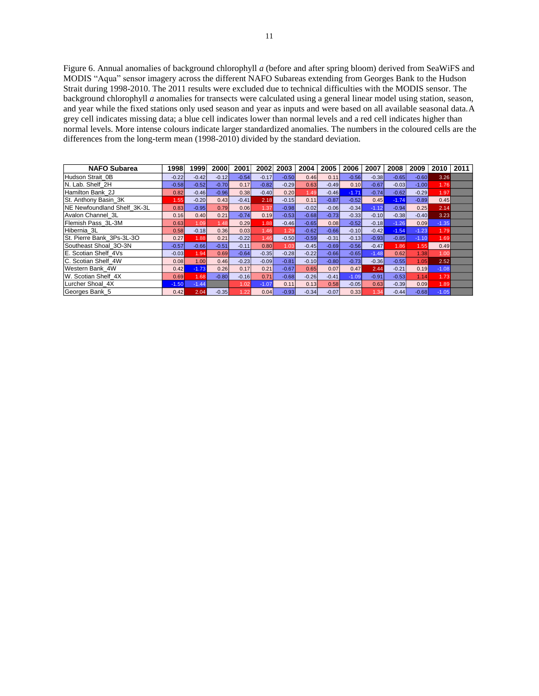Figure 6. Annual anomalies of background chlorophyll *a* (before and after spring bloom) derived from SeaWiFS and MODIS "Aqua" sensor imagery across the different NAFO Subareas extending from Georges Bank to the Hudson Strait during 1998-2010. The 2011 results were excluded due to technical difficulties with the MODIS sensor. The background chlorophyll *a* anomalies for transects were calculated using a general linear model using station, season, and year while the fixed stations only used season and year as inputs and were based on all available seasonal data.A grey cell indicates missing data; a blue cell indicates lower than normal levels and a red cell indicates higher than normal levels. More intense colours indicate larger standardized anomalies. The numbers in the coloured cells are the differences from the long-term mean (1998-2010) divided by the standard deviation.

| <b>NAFO Subarea</b>                 | 1998    | 1999    | 2000    | 2001    | 2002    | 2003    | 2004    | 2005    | 2006    | 2007    | 2008    | 2009    | 2010    | 2011 |
|-------------------------------------|---------|---------|---------|---------|---------|---------|---------|---------|---------|---------|---------|---------|---------|------|
| Hudson Strait 0B                    | $-0.22$ | $-0.42$ | $-0.12$ | $-0.54$ | $-0.17$ | $-0.50$ | 0.46    | 0.11    | $-0.56$ | $-0.38$ | $-0.65$ | $-0.60$ | 3.26    |      |
| N. Lab. Shelf 2H                    | $-0.58$ | $-0.52$ | $-0.70$ | 0.17    | $-0.82$ | $-0.29$ | 0.63    | $-0.49$ | 0.10    | $-0.67$ | $-0.03$ | $-1.00$ | 1.76    |      |
| Hamilton Bank 2J                    | 0.82    | $-0.46$ | $-0.96$ | 0.38    | $-0.40$ | 0.20    | 1.49    | $-0.46$ | $-1.71$ | $-0.74$ | $-0.62$ | $-0.29$ | 1.97    |      |
| St. Anthony Basin 3K                | 1.55    | $-0.20$ | 0.43    | $-0.41$ | 2.18    | $-0.15$ | 0.11    | $-0.87$ | $-0.52$ | 0.45    | $-1.74$ | $-0.89$ | 0.45    |      |
| <b>INE Newfoundland Shelf 3K-3L</b> | 0.83    | $-0.95$ | 0.79    | 0.06    | 1.37    | $-0.98$ | $-0.02$ | $-0.06$ | $-0.34$ | $-1.12$ | $-0.94$ | 0.25    | 2.14    |      |
| Avalon Channel 3L                   | 0.16    | 0.40    | 0.21    | $-0.74$ | 0.19    | $-0.53$ | $-0.68$ | $-0.73$ | $-0.33$ | $-0.10$ | $-0.38$ | $-0.40$ | 3.23    |      |
| Flemish Pass 3L-3M                  | 0.63    | 1.09    | 1.48    | 0.29    | 1.88    | $-0.46$ | $-0.65$ | 0.08    | $-0.52$ | $-0.18$ | $-1.26$ | 0.09    | $-1.35$ |      |
| Hibernia 3L                         | 0.58    | $-0.18$ | 0.36    | 0.03    | 1.46    | 1.29    | $-0.62$ | $-0.66$ | $-0.10$ | $-0.42$ | $-1.54$ | $-1.23$ | 1.79    |      |
| St. Pierre Bank 3Ps-3L-3O           | 0.27    | 1.88    | 0.21    | $-0.22$ | 1.46    | $-0.50$ | $-0.59$ | $-0.31$ | $-0.13$ | $-0.93$ | $-0.85$ | $-1.10$ | 1.69    |      |
| Southeast Shoal 3O-3N               | $-0.57$ | $-0.66$ | $-0.51$ | $-0.11$ | 0.80    | 1.03    | $-0.45$ | $-0.69$ | $-0.56$ | $-0.47$ | 1.86    | 1.55    | 0.49    |      |
| E. Scotian Shelf 4Vs                | $-0.03$ | 1.94    | 0.69    | $-0.64$ | $-0.35$ | $-0.28$ | $-0.22$ | $-0.66$ | $-0.65$ | $-1.48$ | 0.62    | 1.38    | 1.00    |      |
| C. Scotian Shelf 4W                 | 0.08    | 1.00    | 0.46    | $-0.23$ | $-0.09$ | $-0.81$ | $-0.10$ | $-0.80$ | $-0.73$ | $-0.36$ | $-0.55$ | 1.05    | 2.52    |      |
| Western Bank 4W                     | 0.42    | $-1.73$ | 0.26    | 0.17    | 0.21    | $-0.67$ | 0.65    | 0.07    | 0.47    | 2.44    | $-0.21$ | 0.19    | $-1.08$ |      |
| W. Scotian Shelf 4X                 | 0.69    | 1.68    | $-0.80$ | $-0.16$ | 0.71    | $-0.68$ | $-0.26$ | $-0.41$ | $-1.09$ | $-0.91$ | $-0.53$ | 1.14    | 1.73    |      |
| Lurcher Shoal 4X                    | $-1.50$ | $-1.44$ |         | 1.02    | $-1.07$ | 0.11    | 0.13    | 0.58    | $-0.05$ | 0.63    | $-0.39$ | 0.09    | 1.89    |      |
| Georges Bank 5                      | 0.42    | 2.04    | $-0.35$ | 1.22    | 0.04    | $-0.93$ | $-0.34$ | $-0.07$ | 0.33    | 1.34    | $-0.44$ | $-0.68$ | $-1.05$ |      |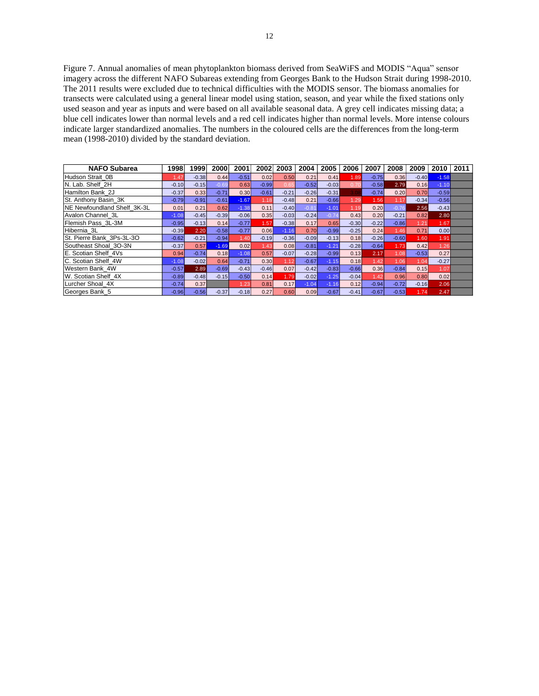Figure 7. Annual anomalies of mean phytoplankton biomass derived from SeaWiFS and MODIS "Aqua" sensor imagery across the different NAFO Subareas extending from Georges Bank to the Hudson Strait during 1998-2010. The 2011 results were excluded due to technical difficulties with the MODIS sensor. The biomass anomalies for transects were calculated using a general linear model using station, season, and year while the fixed stations only used season and year as inputs and were based on all available seasonal data. A grey cell indicates missing data; a blue cell indicates lower than normal levels and a red cell indicates higher than normal levels. More intense colours indicate larger standardized anomalies. The numbers in the coloured cells are the differences from the long-term mean (1998-2010) divided by the standard deviation.

| <b>NAFO Subarea</b>          | 1998    | 1999    | 2000    | 2001    | 2002    | 2003    | 2004    | 2005    | 2006    | 2007    | 2008    | 2009    | 2010    | 2011 |
|------------------------------|---------|---------|---------|---------|---------|---------|---------|---------|---------|---------|---------|---------|---------|------|
| Hudson Strait 0B             | 1.47    | $-0.38$ | 0.44    | $-0.51$ | 0.02    | 0.50    | 0.21    | 0.41    | 1.89    | $-0.75$ | 0.36    | $-0.40$ | $-1.58$ |      |
| N. Lab. Shelf 2H             | $-0.10$ | $-0.15$ | $-0.69$ | 0.63    | $-0.99$ | 0.6     | $-0.52$ | $-0.03$ | 0.70    | $-0.58$ | 2.79    | 0.16    | $-1.10$ |      |
| Hamilton Bank 2J             | $-0.37$ | 0.33    | $-0.71$ | 0.30    | $-0.61$ | $-0.21$ | $-0.26$ | $-0.31$ |         | $-0.74$ | 0.20    | 0.70    | $-0.59$ |      |
| <b>ISt. Anthony Basin 3K</b> | $-0.79$ | $-0.91$ | $-0.61$ | $-1.67$ | 1.18    | $-0.48$ | 0.21    | $-0.66$ | 1.29    | 1.56    | 1.17    | $-0.34$ | $-0.56$ |      |
| NE Newfoundland Shelf 3K-3L  | 0.01    | 0.21    | 0.62    | $-1.38$ | 0.11    | $-0.40$ | $-0.81$ | $-1.01$ | 1.19    | 0.20    | $-0.76$ | 2.56    | $-0.43$ |      |
| Avalon Channel 3L            | $-1.08$ | $-0.45$ | $-0.39$ | $-0.06$ | 0.35    | $-0.03$ | $-0.24$ | $-0.74$ | 0.43    | 0.20    | $-0.21$ | 0.82    | 2.80    |      |
| Flemish Pass 3L-3M           | $-0.95$ | $-0.13$ | 0.14    | $-0.77$ | 1.57    | $-0.38$ | 0.17    | 0.65    | $-0.30$ | $-0.22$ | $-0.86$ | 1.21    | 1.67    |      |
| Hibernia 3L                  | $-0.39$ | 2.20    | $-0.58$ | $-0.77$ | 0.06    | $-1.16$ | 0.70    | $-0.99$ | $-0.25$ | 0.24    | 1.46    | 0.71    | 0.00    |      |
| St. Pierre Bank 3Ps-3L-3O    | $-0.62$ | $-0.21$ | $-0.94$ | 1.40    | $-0.19$ | $-0.36$ | $-0.09$ | $-0.13$ | 0.18    | $-0.26$ | $-0.60$ | 1.60    | 1.91    |      |
| Southeast Shoal 3O-3N        | $-0.37$ | 0.57    | $-1.69$ | 0.02    | 1.43    | 0.08    | $-0.81$ | $-1.21$ | $-0.28$ | $-0.64$ | 1.73    | 0.42    | 1.26    |      |
| E. Scotian Shelf 4Vs         | 0.94    | $-0.74$ | 0.18    | $-1.08$ | 0.57    | $-0.07$ | $-0.28$ | $-0.99$ | 0.13    | 2.17    | 1.08    | $-0.53$ | 0.27    |      |
| C. Scotian Shelf 4W          | $-1.08$ | $-0.02$ | 0.64    | $-0.71$ | 0.30    | 1.12    | $-0.67$ | $-1.15$ | 0.18    | 1.42    | 1.06    | 1.04    | $-0.27$ |      |
| Western Bank 4W              | $-0.57$ | 2.89    | $-0.69$ | $-0.43$ | $-0.46$ | 0.07    | $-0.42$ | $-0.83$ | $-0.66$ | 0.36    | $-0.84$ | 0.15    | 1.07    |      |
| W. Scotian Shelf 4X          | $-0.89$ | $-0.48$ | $-0.15$ | $-0.50$ | 0.14    | 1.79    | $-0.02$ | $-1.25$ | $-0.04$ | 1.42    | 0.96    | 0.80    | 0.02    |      |
| Lurcher Shoal 4X             | $-0.74$ | 0.37    |         | 1.23    | 0.81    | 0.17    | $-1.04$ | $-1.16$ | 0.12    | $-0.94$ | $-0.72$ | $-0.16$ | 2.06    |      |
| Georges Bank 5               | $-0.96$ | $-0.56$ | $-0.37$ | $-0.18$ | 0.27    | 0.60    | 0.09    | $-0.67$ | $-0.41$ | $-0.67$ | $-0.53$ | 1.74    | 2.47    |      |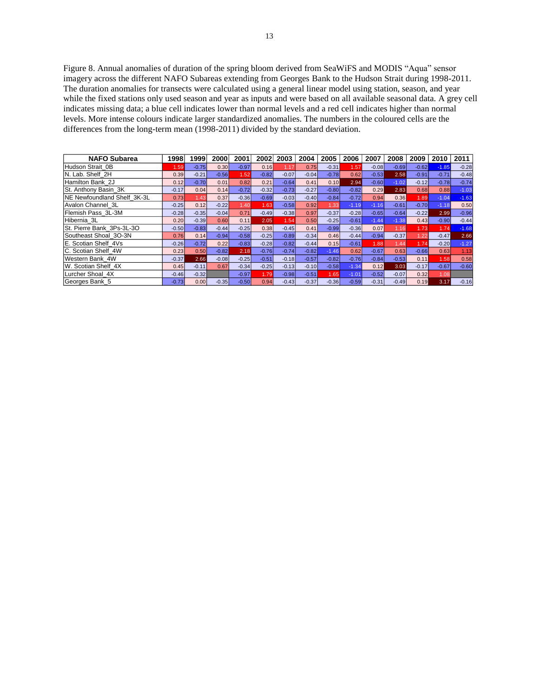Figure 8. Annual anomalies of duration of the spring bloom derived from SeaWiFS and MODIS "Aqua" sensor imagery across the different NAFO Subareas extending from Georges Bank to the Hudson Strait during 1998-2011. The duration anomalies for transects were calculated using a general linear model using station, season, and year while the fixed stations only used season and year as inputs and were based on all available seasonal data. A grey cell indicates missing data; a blue cell indicates lower than normal levels and a red cell indicates higher than normal levels. More intense colours indicate larger standardized anomalies. The numbers in the coloured cells are the differences from the long-term mean (1998-2011) divided by the standard deviation.

| <b>NAFO Subarea</b>          | 1998    | 1999    | 2000    | 2001    | 2002    | 2003    | 2004    | 2005    | 2006    | 2007    | 2008    | 2009    | 2010    | 2011    |
|------------------------------|---------|---------|---------|---------|---------|---------|---------|---------|---------|---------|---------|---------|---------|---------|
| Hudson Strait 0B             | 1.59    | $-0.75$ | 0.30    | $-0.97$ | 0.16    |         | 0.75    | $-0.31$ | 1.57    | $-0.08$ | $-0.69$ | $-0.62$ | $-1.85$ | $-0.28$ |
| N. Lab. Shelf 2H             | 0.39    | $-0.21$ | $-0.56$ | 1.52    | $-0.82$ | $-0.07$ | $-0.04$ | $-0.78$ | 0.62    | $-0.53$ | 2.58    | $-0.91$ | $-0.71$ | $-0.48$ |
| Hamilton Bank 2J             | 0.12    | $-0.70$ | 0.01    | 0.82    | 0.21    | $-0.64$ | 0.41    | 0.10    | 2.94    | $-0.60$ | $-1.02$ | $-0.12$ | $-0.78$ | $-0.74$ |
| <b>ISt. Anthony Basin 3K</b> | $-0.17$ | 0.04    | 0.14    | $-0.72$ | $-0.32$ | $-0.73$ | $-0.27$ | $-0.80$ | $-0.82$ | 0.29    | 2.83    | 0.68    | 0.88    | $-1.03$ |
| NE Newfoundland Shelf_3K-3L  | 0.73    | 1.43    | 0.37    | $-0.36$ | $-0.69$ | $-0.03$ | $-0.40$ | $-0.84$ | $-0.72$ | 0.94    | 0.36    | 1.89    | $-1.04$ | $-1.63$ |
| Avalon Channel 3L            | $-0.25$ | 0.12    | $-0.22$ | 1.40    | 1.63    | $-0.58$ | 0.92    | 1.33    | $-1.19$ | $-1.16$ | $-0.61$ | $-0.70$ | $-1.18$ | 0.50    |
| Flemish Pass 3L-3M           | $-0.28$ | $-0.35$ | $-0.04$ | 0.71    | $-0.49$ | $-0.38$ | 0.97    | $-0.37$ | $-0.28$ | $-0.65$ | $-0.64$ | $-0.22$ | 2.99    | $-0.96$ |
| Hibernia 3L                  | 0.20    | $-0.39$ | 0.60    | 0.11    | 2.05    | 1.54    | 0.50    | $-0.25$ | $-0.61$ | $-1.44$ | $-1.38$ | 0.43    | $-0.90$ | $-0.44$ |
| St. Pierre Bank 3Ps-3L-3O    | $-0.50$ | $-0.83$ | $-0.44$ | $-0.25$ | 0.38    | $-0.45$ | 0.41    | $-0.99$ | $-0.36$ | 0.07    | 1.16    | 1.73    | 1.74    | $-1.68$ |
| Southeast Shoal 3O-3N        | 0.76    | 0.14    | $-0.94$ | $-0.58$ | $-0.25$ | $-0.89$ | $-0.34$ | 0.46    | $-0.44$ | $-0.94$ | $-0.37$ | 1.22    | $-0.47$ | 2.66    |
| E. Scotian Shelf 4Vs         | $-0.26$ | $-0.72$ | 0.22    | $-0.83$ | $-0.28$ | $-0.82$ | $-0.44$ | 0.15    | $-0.61$ | 1.88    | 1.44    | 1.74    | $-0.20$ | $-1.27$ |
| C. Scotian Shelf 4W          | 0.23    | 0.50    | $-0.82$ | 2.18    | $-0.76$ | $-0.74$ | $-0.82$ | $-1.46$ | 0.62    | $-0.67$ | 0.63    | $-0.66$ | 0.63    | 1.13    |
| Western Bank 4W              | $-0.37$ | 2.66    | $-0.08$ | $-0.25$ | $-0.51$ | $-0.18$ | $-0.57$ | $-0.82$ | $-0.76$ | $-0.84$ | $-0.53$ | 0.11    | 1.58    | 0.58    |
| W. Scotian Shelf 4X          | 0.45    | $-0.11$ | 0.67    | $-0.34$ | $-0.25$ | $-0.13$ | $-0.10$ | $-0.58$ | $-1.34$ | 0.12    | 3.03    | $-0.17$ | $-0.67$ | $-0.60$ |
| Lurcher Shoal 4X             | $-0.46$ | $-0.32$ |         | $-0.97$ | 1.79    | $-0.98$ | $-0.51$ | 1.65    | $-1.01$ | $-0.52$ | $-0.07$ | 0.32    | 1.08    |         |
| Georges Bank 5               | $-0.73$ | 0.00    | $-0.35$ | $-0.50$ | 0.94    | $-0.43$ | $-0.37$ | $-0.36$ | $-0.59$ | $-0.31$ | $-0.49$ | 0.19    | 3.17    | $-0.16$ |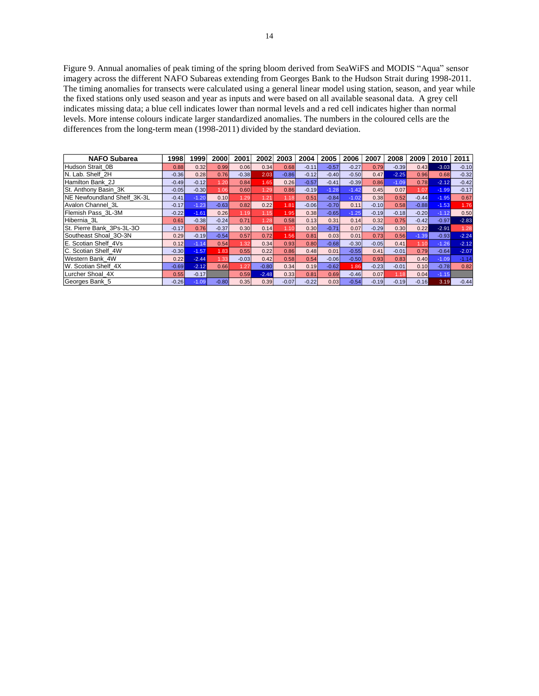Figure 9. Annual anomalies of peak timing of the spring bloom derived from SeaWiFS and MODIS "Aqua" sensor imagery across the different NAFO Subareas extending from Georges Bank to the Hudson Strait during 1998-2011. The timing anomalies for transects were calculated using a general linear model using station, season, and year while the fixed stations only used season and year as inputs and were based on all available seasonal data. A grey cell indicates missing data; a blue cell indicates lower than normal levels and a red cell indicates higher than normal levels. More intense colours indicate larger standardized anomalies. The numbers in the coloured cells are the differences from the long-term mean (1998-2011) divided by the standard deviation.

| <b>NAFO Subarea</b>          | 1998    | 1999    | 2000    | 2001    | 2002          | 2003    | 2004    | 2005    | 2006    | 2007    | 2008    | 2009    | 2010    | 2011    |
|------------------------------|---------|---------|---------|---------|---------------|---------|---------|---------|---------|---------|---------|---------|---------|---------|
| Hudson Strait 0B             | 0.88    | 0.32    | 0.99    | 0.06    | 0.34          | 0.68    | $-0.11$ | $-0.57$ | $-0.27$ | 0.79    | $-0.39$ | 0.43    | $-3.03$ | $-0.10$ |
| N. Lab. Shelf 2H             | $-0.36$ | 0.28    | 0.76    | $-0.38$ | 2.03          | $-0.86$ | $-0.12$ | $-0.40$ | $-0.50$ | 0.47    | $-2.25$ | 0.96    | 0.68    | $-0.32$ |
| Hamilton Bank 2J             | $-0.49$ | $-0.12$ | 1.20    | 0.84    | 1.65          | 0.26    | $-0.57$ | $-0.41$ | $-0.39$ | 0.86    | $-1.09$ | 0.78    | $-2.12$ | $-0.42$ |
| St. Anthony Basin 3K         | $-0.05$ | $-0.30$ | 1.06    | 0.60    | 1.29          | 0.86    | $-0.19$ | $-1.28$ | $-1.42$ | 0.45    | 0.07    | 1.07    | $-1.99$ | $-0.17$ |
| NE Newfoundland Shelf 3K-3L  | $-0.41$ | $-1.20$ | 0.10    | 1.29    | $1.2^{\circ}$ | 1.18    | 0.51    | $-0.84$ | $-1.02$ | 0.38    | 0.52    | $-0.44$ | $-1.95$ | 0.67    |
| Avalon Channel 3L            | $-0.17$ | $-1.23$ | $-0.63$ | 0.82    | 0.22          | 1.81    | $-0.06$ | $-0.70$ | 0.11    | $-0.10$ | 0.58    | $-0.88$ | $-1.53$ | 1.76    |
| Flemish Pass 3L-3M           | $-0.22$ | $-1.61$ | 0.26    | 1.19    | 1.15          | 1.95    | 0.38    | $-0.65$ | $-1.25$ | $-0.19$ | $-0.18$ | $-0.20$ | $-1.12$ | 0.50    |
| Hibernia 3L                  | 0.61    | $-0.38$ | $-0.24$ | 0.71    | 1.28          | 0.58    | 0.13    | 0.31    | 0.14    | 0.32    | 0.75    | $-0.42$ | $-0.97$ | $-2.83$ |
| St. Pierre Bank 3Ps-3L-3O    | $-0.17$ | 0.76    | $-0.37$ | 0.30    | 0.14          | 1.10    | 0.30    | $-0.71$ | 0.07    | $-0.29$ | 0.30    | 0.22    | $-2.91$ | 1.28    |
| Southeast Shoal 30-3N        | 0.29    | $-0.19$ | $-0.54$ | 0.57    | 0.72          | 1.56    | 0.81    | 0.03    | 0.01    | 0.73    | 0.56    | $-1.39$ | $-0.93$ | $-2.24$ |
| <b>IE. Scotian Shelf 4Vs</b> | 0.12    | $-1.14$ | 0.54    | 1.32    | 0.34          | 0.93    | 0.80    | $-0.68$ | $-0.30$ | $-0.05$ | 0.41    | 1.10    | $-1.26$ | $-2.12$ |
| C. Scotian Shelf 4W          | $-0.30$ | $-1.57$ | 1.83    | 0.55    | 0.22          | 0.86    | 0.48    | 0.01    | $-0.55$ | 0.41    | $-0.01$ | 0.79    | $-0.64$ | $-2.07$ |
| Western Bank 4W              | 0.22    | $-2.44$ | 1.33    | $-0.03$ | 0.42          | 0.58    | 0.54    | $-0.06$ | $-0.50$ | 0.93    | 0.83    | 0.40    | $-1.09$ | $-1.14$ |
| W. Scotian Shelf 4X          | $-0.69$ | $-2.12$ | 0.66    | 1.27    | $-0.80$       | 0.34    | 0.19    | $-0.62$ | 1.86    | $-0.23$ | $-0.01$ | 0.10    | $-0.78$ | 0.82    |
| Lurcher Shoal 4X             | 0.55    | $-0.17$ |         | 0.59    | $-2.48$       | 0.33    | 0.81    | 0.69    | $-0.46$ | 0.07    | 1.18    | 0.04    | $-1.15$ |         |
| Georges Bank 5               | $-0.26$ | $-1.09$ | $-0.80$ | 0.35    | 0.39          | $-0.07$ | $-0.22$ | 0.03    | $-0.54$ | $-0.19$ | $-0.19$ | $-0.16$ | 3.19    | $-0.44$ |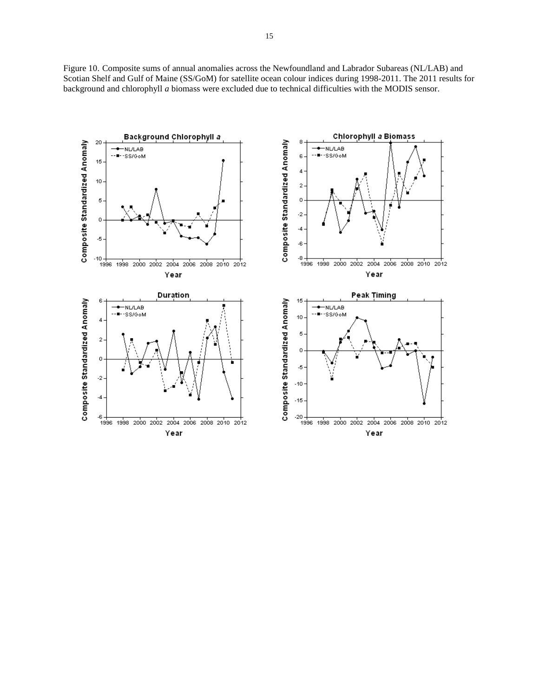Figure 10. Composite sums of annual anomalies across the Newfoundland and Labrador Subareas (NL/LAB) and Scotian Shelf and Gulf of Maine (SS/GoM) for satellite ocean colour indices during 1998-2011. The 2011 results for background and chlorophyll *a* biomass were excluded due to technical difficulties with the MODIS sensor.

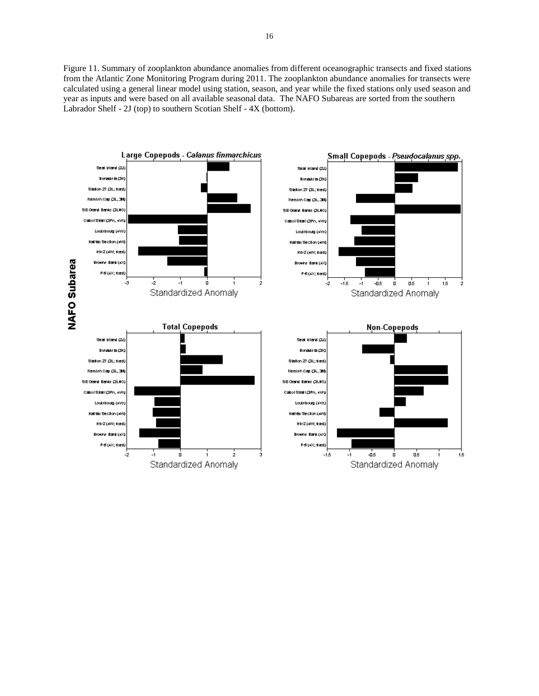Figure 11. Summary of zooplankton abundance anomalies from different oceanographic transects and fixed stations from the Atlantic Zone Monitoring Program during 2011. The zooplankton abundance anomalies for transects were calculated using a general linear model using station, season, and year while the fixed stations only used season and year as inputs and were based on all available seasonal data. The NAFO Subareas are sorted from the southern Labrador Shelf - 2J (top) to southern Scotian Shelf - 4X (bottom).

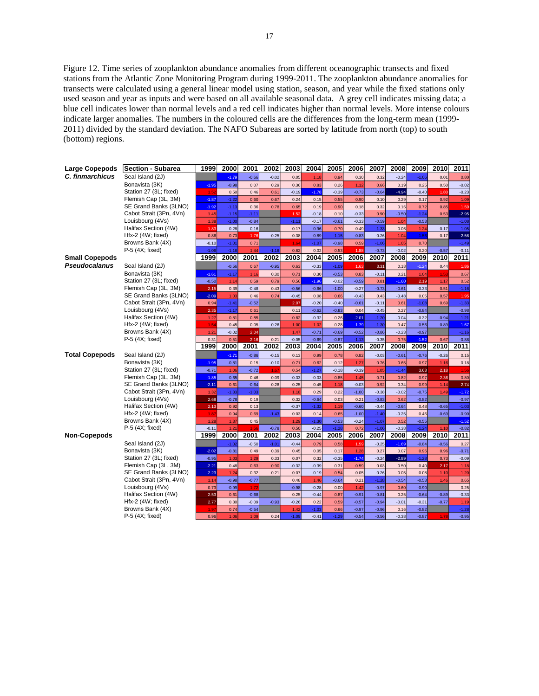Figure 12. Time series of zooplankton abundance anomalies from different oceanographic transects and fixed stations from the Atlantic Zone Monitoring Program during 1999-2011. The zooplankton abundance anomalies for transects were calculated using a general linear model using station, season, and year while the fixed stations only used season and year as inputs and were based on all available seasonal data. A grey cell indicates missing data; a blue cell indicates lower than normal levels and a red cell indicates higher than normal levels. More intense colours indicate larger anomalies. The numbers in the coloured cells are the differences from the long-term mean (1999- 2011) divided by the standard deviation. The NAFO Subareas are sorted by latitude from north (top) to south (bottom) regions.

| Large Copepods        | Section - Subarea                           | 1999            | 2000               | 2001               | 2002            | 2003            | 2004               | 2005               | 2006               | 2007               | 2008            | 2009               | 2010         | 2011               |
|-----------------------|---------------------------------------------|-----------------|--------------------|--------------------|-----------------|-----------------|--------------------|--------------------|--------------------|--------------------|-----------------|--------------------|--------------|--------------------|
| C. finmarchicus       | Seal Island (2J)                            |                 | $-1.79$            | $-0.66$            | $-0.02$         | 0.05            | 1.18               | 0.94               | 0.30               | 0.32               | $-0.24$         | $-1.06$            | 0.01         | 0.80               |
|                       | Bonavista (3K)                              | $-1.95$         | $-0.98$            | 0.07               | 0.29            | 0.36            | 0.83               | 0.26               | 1.12               | 0.66               | 0.19            | 0.25               | 0.50         | $-0.02$            |
|                       | Station 27 (3L; fixed)                      | 1.52            | 0.50               | 0.46               | 0.61            | $-0.19$         | $-1.78$            | $-0.39$            | $-0.73$            | $-0.64$            | $-4.94$         | $-0.40$            | 1.80         | $-0.23$            |
|                       | Flemish Cap (3L, 3M)                        | $-1.87$         | $-1.22$            | 0.60               | 0.67            | 0.24            | 0.15               | 0.55               | 0.90               | 0.10               | 0.29            | 0.17               | 0.92         | 1.09               |
|                       | SE Grand Banks (3LNO)                       | $-1.92$         | $-1.13$            | 0.36               | 0.78            | 0.65            | 0.19               | 0.90               | 0.18               | 0.32               | 0.16            | 0.72               | 0.85         | 1.59               |
|                       | Cabot Strait (3Pn, 4Vn)<br>Louisbourg (4Vs) | 1.45<br>1.38    | $-1.15$<br>$-1.00$ | $-1.11$<br>$-0.84$ |                 | 1.52            | $-0.18$<br>$-0.17$ | 0.10<br>$-0.61$    | $-0.33$<br>$-0.33$ | 0.90<br>$-0.59$    | $-0.50$<br>1.04 | $-1.24$<br>$-0.53$ | 0.53         | $-2.95$<br>$-1.08$ |
|                       | Halifax Section (4W)                        | 1.83            | $-0.28$            | $-0.16$            |                 | $-1.11$<br>0.17 | $-0.96$            | 0.70               | 0.49               | $-1.33$            | 0.06            | 1.24               | $-0.17$      | $-1.05$            |
|                       | Hfx-2 (4W; fixed)                           | 0.86            | 0.73               | 1.76               | $-0.25$         | 0.38            | $-0.89$            | $-1.15$            | $-0.83$            | $-0.26$            | 1.04            | $-1.56$            | 0.17         | $-2.56$            |
|                       | Browns Bank (4X)                            | $-0.10$         | $-1.01$            | 0.71               |                 | 1.64            | $-1.07$            | $-0.98$            | 0.59               | $-1.06$            | 1.05            | 0.70               |              | $-1.49$            |
|                       | P-5 (4X; fixed)                             | $-1.06$         | $-1.16$            | 1.44               | $-1.16$         | 0.62            | 0.02               | 0.53               | 1.88               | $-0.73$            | $-0.02$         | 0.20               | $-0.57$      | $-0.11$            |
| <b>Small Copepods</b> |                                             | 1999            | 2000               | 2001               | 2002            | 2003            | 2004               | 2005               | 2006               | 2007               | 2008            | 2009               | 2010         | 2011               |
| <b>Pseudocalanus</b>  | Seal Island (2J)                            |                 | $-0.56$            | 0.67               | $-0.95$         | 0.63            | $-0.33$            | $-1.09$            | 1.63               | 3.31               | 0.18            | $-1.24$            | 0.44         | 1.86               |
|                       | Bonavista (3K)                              | $-1.61$         | $-1.17$            | 1.16               | 0.30            | 0.71            | 0.30               | $-0.53$            | 0.83               | $-0.11$            | 0.21            | 1.04               | 1.53         | 0.67               |
|                       | Station 27 (3L; fixed)                      | $-0.50$         | 1.14               | 0.59               | 0.79            | 0.56            | $-1.96$            | $-0.02$            | $-0.59$            | 0.81               | $-1.60$         | 2.19               | 1.17         | 0.52               |
|                       | Flemish Cap (3L, 3M)                        | 2.15            | 0.39               | $-0.48$            | 0.43            | $-0.56$         | $-0.66$            | $-1.00$            | $-0.27$            | $-0.73$            | $-0.61$         | $-0.33$            | 0.51         | $-1.16$            |
|                       | SE Grand Banks (3LNO)                       | $-2.09$         | 1.03               | 0.46               | 0.74            | $-0.45$         | 0.08               | 0.66               | $-0.43$            | 0.43               | $-0.48$         | 0.05               | 0.57         | 1.95               |
|                       | Cabot Strait (3Pn, 4Vn)                     | 0.94            | $-1.41$            | $-0.52$            |                 | 2.07            | $-0.20$            | $-0.40$            | $-0.61$            | $-0.11$            | 0.61            | $-1.08$            | 0.69         | $-1.33$            |
|                       | Louisbourg (4Vs)                            | 2.35            | $-1.17$            | 0.61               |                 | 0.11            | $-0.62$            | $-0.83$            | 0.04               | $-0.45$            | 0.27            | $-0.84$            |              | $-0.98$            |
|                       | Halifax Section (4W)                        | 1.27            | 0.81               | 0.85               |                 | 0.82            | $-0.32$            | 0.26               | $-2.01$            | $-1.20$            | $-0.04$         | $-0.32$            | $-0.94$      | $-1.21$            |
|                       | Hfx-2 (4W; fixed)                           | 1.54            | 0.45               | 0.05               | $-0.26$         | 1.00            | 1.02               | 0.28               | $-1.79$            | $-1.30$            | 0.47            | $-0.56$            | $-0.89$      | $-1.67$            |
|                       | Browns Bank (4X)<br>P-5 (4X; fixed)         | 1.21<br>0.31    | $-0.02$<br>0.51    | 2.04<br>2.16       | 0.21            | 1.47<br>$-0.05$ | $-0.71$<br>$-0.69$ | $-0.69$<br>$-0.87$ | $-0.52$<br>$-1.13$ | $-0.86$<br>$-0.35$ | $-0.23$<br>0.75 | $-0.97$<br>$-1.52$ | 0.67         | $-1.16$<br>$-0.88$ |
|                       |                                             | 1999            | 2000               | 2001               | 2002            | 2003            | 2004               | 2005               | 2006               | 2007               | 2008            | 2009               | 2010         | 2011               |
| <b>Total Copepods</b> | Seal Island (2J)                            |                 | $-1.71$            | $-0.86$            | $-0.15$         | 0.13            | 0.99               | 0.78               | 0.82               | $-0.03$            | $-0.61$         | $-0.76$            | $-0.26$      | 0.15               |
|                       | Bonavista (3K)                              | $-1.95$         | $-0.81$            | 0.15               | $-0.10$         | 0.71            | 0.62               | 0.12               | 1.27               | 0.76               | 0.65            | 0.97               | 1.16         | 0.18               |
|                       | Station 27 (3L; fixed)                      | $-0.71$         | 1.06               | $-0.72$            | 1.67            | 0.54            | $-1.27$            | $-0.18$            | $-0.39$            | 1.05               | $-1.44$         | 3.63               | 2.18         | 1.56               |
|                       | Flemish Cap (3L, 3M)                        | $-1.85$         | $-0.65$            | 0.46               | 0.09            | $-0.33$         | $-0.03$            | 0.85               | 1.45               | 0.71               | 0.82            | 0.97               | 2.36         | 0.80               |
|                       | SE Grand Banks (3LNO)                       | $-2.11$         | 0.61               | $-0.64$            | 0.28            | 0.25            | 0.45               | 1.18               | $-0.03$            | 0.92               | 0.34            | 0.99               | 1.14         | 2.74               |
|                       | Cabot Strait (3Pn, 4Vn)                     | 1.32            | $-1.33$            | $-1.03$            |                 | 1.18            | 0.29               | 0.22               | $-1.00$            | $-0.38$            | $-0.02$         | $-0.75$            | 1.49         | $-1.72$            |
|                       | Louisbourg (4Vs)                            | 2.68            | $-0.78$            | 0.19               |                 | 0.32            | $-0.64$            | 0.03               | 0.21               | $-0.83$            | 0.62            | $-0.82$            |              | $-0.97$            |
|                       | Halifax Section (4W)                        | 2.13            | 0.92               | 0.13               |                 | $-0.37$         | $-1.32$            | 1.19               | $-0.60$            | $-0.44$            | $-0.64$         | 0.48               | $-0.65$      | $-1.03$            |
|                       | Hfx-2 (4W; fixed)                           | 1.87            | 0.94               | 0.69               | $-1.43$         | 0.03            | 0.14               | 0.65               | $-1.00$            | $-1.40$            | $-0.25$         | 0.46               | $-0.69$      | $-0.90$            |
|                       | Browns Bank (4X)                            | 1.28            | 1.37               | 0.45               |                 | 1.29            | $-1.30$            | $-0.53$            | $-0.24$            | $-1.07$            | 0.52            | $-0.55$            |              | $-1.52$            |
| <b>Non-Copepods</b>   | $P-5$ (4X; fixed)                           | $-0.11$<br>1999 | 1.21<br>2000       | 1.56<br>2001       | $-0.78$<br>2002 | 0.50<br>2003    | $-0.25$<br>2004    | $-1.28$<br>2005    | 0.72<br>2006       | $-1.06$<br>2007    | $-0.38$<br>2008 | $-1.24$<br>2009    | 1.10<br>2010 | $-0.82$<br>2011    |
|                       | Seal Island (2J)                            |                 | $-1.02$            | $-0.50$            | $-1.01$         | $-0.44$         | 0.79               | 0.58               | 1.59               | $-0.25$            | $-1.69$         | $-0.84$            | $-0.56$      | 0.27               |
|                       | Bonavista (3K)                              | $-2.02$         | $-0.81$            | 0.49               | 0.39            | 0.45            | 0.05               | 0.17               | 1.28               | 0.27               | 0.07            | 0.96               | 0.96         | $-0.71$            |
|                       | Station 27 (3L; fixed)                      | $-0.95$         | 1.03               | 1.29               | 0.33            | 0.07            | 0.32               | $-0.35$            | $-1.74$            | $-0.24$            | $-2.89$         | $-1.28$            | 0.73         | $-0.09$            |
|                       | Flemish Cap (3L, 3M)                        | $-2.21$         | 0.48               | 0.63               | 0.90            | $-0.32$         | $-0.39$            | 0.31               | 0.59               | 0.03               | 0.50            | 0.40               | 2.17         | 1.18               |
|                       | SE Grand Banks (3LNO)                       | $-2.23$         | 1.24               | 0.32               | 0.21            | 0.07            | $-0.19$            | 0.54               | 0.05               | $-0.26$            | 0.05            | 0.08               | 1.10         | 1.20               |
|                       | Cabot Strait (3Pn, 4Vn)                     | 1.14            | $-0.98$            | $-0.77$            |                 | 0.48            | 1.46               | $-0.64$            | 0.21               | $-1.28$            | $-0.54$         | $-0.53$            | 1.46         | 0.65               |
|                       | Louisbourg (4Vs)                            | 0.73            | $-0.99$            | 1.72               |                 | $-0.98$         | $-0.28$            | 0.00               | 1.42               | $-0.97$            | 0.60            | $-0.90$            |              | 0.25               |
|                       | Halifax Section (4W)                        | 2.53            | 0.61               | $-0.68$            |                 | 0.25            | $-0.44$            | 0.87               | $-0.91$            | $-0.81$            | 0.25            | $-0.64$            | $-0.89$      | $-0.33$            |
|                       | Hfx-2 (4W; fixed)                           | 2.77            | 0.30               | $-0.09$            | $-0.93$         | $-0.26$         | 0.22               | 0.59               | $-0.57$            | $-0.94$            | $-0.01$         | $-0.31$            | $-0.77$      | 1.19               |
|                       | Browns Bank (4X)                            | 1.97            | 0.74               | $-0.54$            |                 | 1.42            | $-1.03$            | 0.66               | $-0.97$            | $-0.96$            | 0.16            | $-0.82$            |              | $-1.28$            |
|                       | P-5 (4X; fixed)                             | 0.96            | 1.06               | 1.09               | 0.24            | $-1.09$         | $-0.41$            | $-1.29$            | $-0.54$            | $-0.56$            | $-0.38$         | $-0.87$            | 1.78         | $-0.95$            |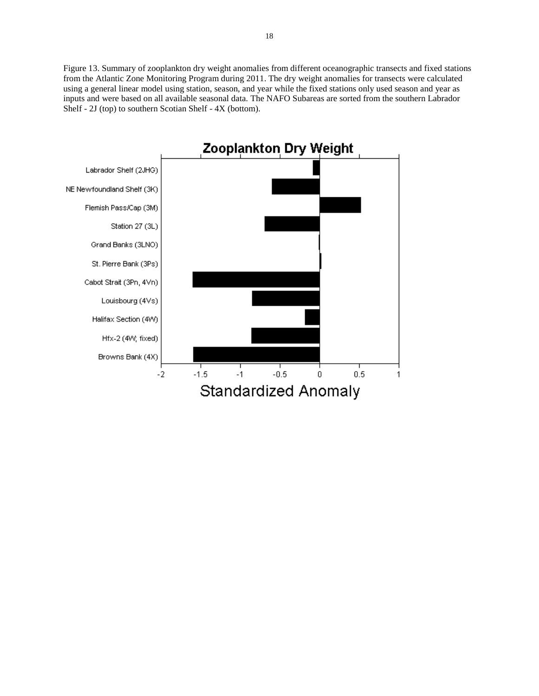Figure 13. Summary of zooplankton dry weight anomalies from different oceanographic transects and fixed stations from the Atlantic Zone Monitoring Program during 2011. The dry weight anomalies for transects were calculated using a general linear model using station, season, and year while the fixed stations only used season and year as inputs and were based on all available seasonal data. The NAFO Subareas are sorted from the southern Labrador Shelf - 2J (top) to southern Scotian Shelf - 4X (bottom).

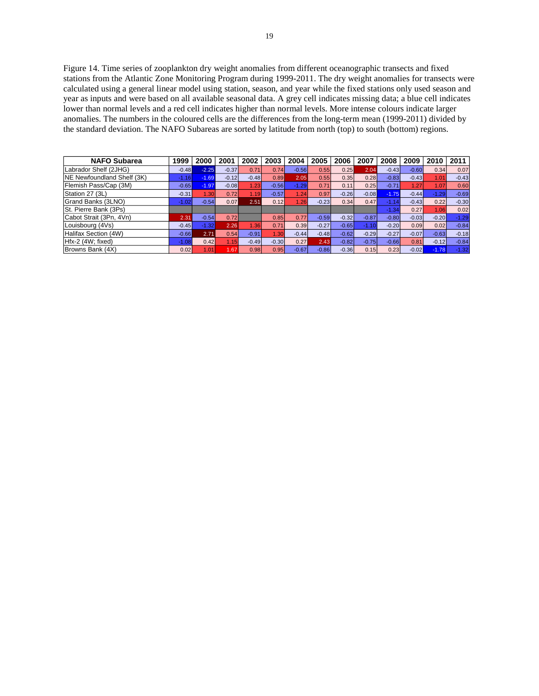Figure 14. Time series of zooplankton dry weight anomalies from different oceanographic transects and fixed stations from the Atlantic Zone Monitoring Program during 1999-2011. The dry weight anomalies for transects were calculated using a general linear model using station, season, and year while the fixed stations only used season and year as inputs and were based on all available seasonal data. A grey cell indicates missing data; a blue cell indicates lower than normal levels and a red cell indicates higher than normal levels. More intense colours indicate larger anomalies. The numbers in the coloured cells are the differences from the long-term mean (1999-2011) divided by the standard deviation. The NAFO Subareas are sorted by latitude from north (top) to south (bottom) regions.

| <b>NAFO Subarea</b>        | 1999    | 2000              | 2001    | 2002    | 2003    | 2004    | 2005    | 2006    | 2007    | 2008    | 2009    | 2010    | 2011    |
|----------------------------|---------|-------------------|---------|---------|---------|---------|---------|---------|---------|---------|---------|---------|---------|
| Labrador Shelf (2JHG)      | $-0.48$ | $-2.25$           | $-0.37$ | 0.71    | 0.74    | $-0.56$ | 0.55    | 0.25    | 2.04    | $-0.43$ | $-0.60$ | 0.34    | 0.07    |
| NE Newfoundland Shelf (3K) | $-1.16$ | $-1.69$           | $-0.12$ | $-0.48$ | 0.89    | 2.05    | 0.55    | 0.35    | 0.28    | $-0.83$ | $-0.43$ | 1.01    | $-0.43$ |
| Flemish Pass/Cap (3M)      | $-0.65$ | $-1.97$           | $-0.08$ | .23     | $-0.56$ | $-1.29$ | 0.71    | 0.11    | 0.25    | $-0.71$ | 1.27    | 1.07    | 0.60    |
| Station 27 (3L)            | $-0.31$ | 1.30 <sub>1</sub> | 0.72    | 1.19    | $-0.57$ | 124     | 0.97    | $-0.26$ | $-0.08$ | $-1.75$ | $-0.44$ | $-1.29$ | $-0.69$ |
| Grand Banks (3LNO)         | $-1.02$ | $-0.54$           | 0.07    | 2.51    | 0.12    | 1.26    | $-0.23$ | 0.34    | 0.47    | $-1.14$ | $-0.43$ | 0.22    | $-0.30$ |
| St. Pierre Bank (3Ps)      |         |                   |         |         |         |         |         |         |         | $-1.34$ | 0.27    | 1.06    | 0.02    |
| Cabot Strait (3Pn, 4Vn)    | 2.31    | $-0.54$           | 0.72    |         | 0.85    | 0.77    | $-0.59$ | $-0.32$ | $-0.87$ | $-0.80$ | $-0.03$ | $-0.20$ | $-1.29$ |
| Louisbourg (4Vs)           | $-0.45$ | $-1.32$           | 2.26    | .36     | 0.71    | 0.39    | $-0.27$ | $-0.65$ | $-1.10$ | $-0.20$ | 0.09    | 0.02    | $-0.84$ |
| Halifax Section (4W)       | $-0.66$ | 2.71              | 0.54    | $-0.91$ | 1.30    | $-0.44$ | $-0.48$ | $-0.62$ | $-0.29$ | $-0.27$ | $-0.07$ | $-0.63$ | $-0.18$ |
| Hfx-2 (4W; fixed)          | $-1.08$ | 0.42              | 1.15    | $-0.49$ | $-0.30$ | 0.27    | 2.43    | $-0.82$ | $-0.75$ | $-0.66$ | 0.81    | $-0.12$ | $-0.84$ |
| Browns Bank (4X)           | 0.02    | 1.01              | 1.67    | 0.98    | 0.95    | $-0.67$ | $-0.86$ | $-0.36$ | 0.15    | 0.23    | $-0.02$ | $-1.78$ | $-1.32$ |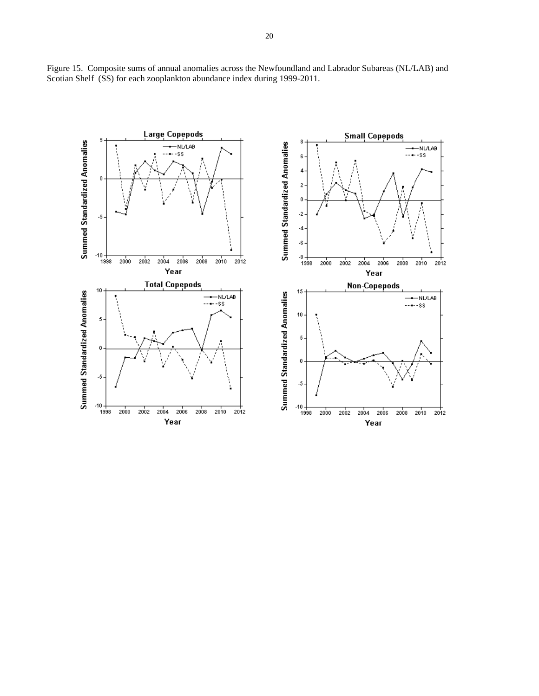

Figure 15. Composite sums of annual anomalies across the Newfoundland and Labrador Subareas (NL/LAB) and Scotian Shelf (SS) for each zooplankton abundance index during 1999-2011.